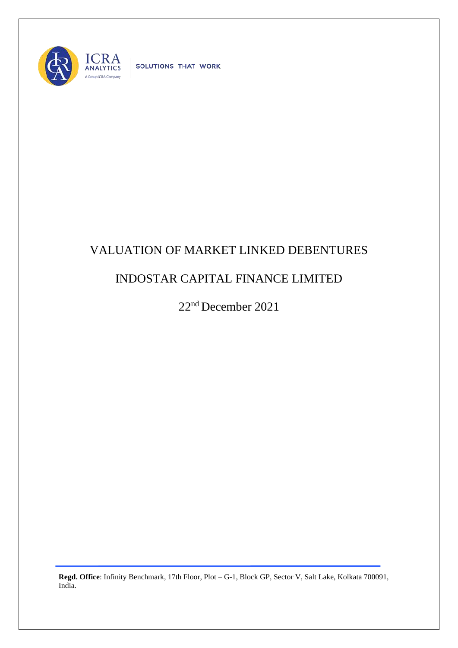

SOLUTIONS THAT WORK

## VALUATION OF MARKET LINKED DEBENTURES

## INDOSTAR CAPITAL FINANCE LIMITED

22nd December 2021

**Regd. Office**: Infinity Benchmark, 17th Floor, Plot – G-1, Block GP, Sector V, Salt Lake, Kolkata 700091, India.